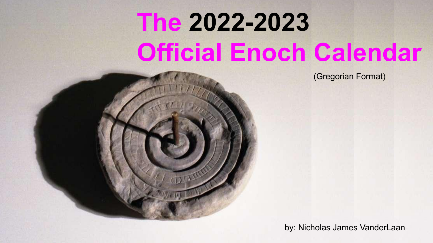# **The 2022-2023 Official Enoch Calendar**

(Gregorian Format)

by: Nicholas James VanderLaan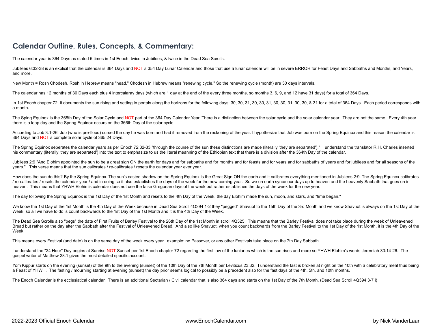#### **Calendar Outline, Rules, Concepts, & Commentary:**

The calendar year is 364 Days as stated 5 times in 1st Enoch, twice in Jubilees, & twice in the Dead Sea Scrolls.

Jubilees 6:32-38 is an explicit that the calendar is 364 Days and NOT a 354 Day Lunar Calendar and those that use a lunar calendar will be in severe ERROR for Feast Days and Sabbaths and Months, and Years, and more.

New Month = Rosh Chodesh. Rosh in Hebrew means "head." Chodesh in Hebrew means "renewing cycle." So the renewing cycle (month) are 30 days intervals.

The calendar has 12 months of 30 Days each plus 4 intercalaray days (which are 1 day at the end of the every three months, so months 3, 6, 9, and 12 have 31 days) for a total of 364 Days.

In 1st Enoch chapter 72, it documents the sun rising and setting in portals along the horizons for the following days: 30, 30, 31, 30, 30, 31, 30, 30, 31, 30, 30, 31, 30, 30, 31, 30, 30, 8, 31 for a total of 364 Days. Each a month.

The Sping Equinox is the 365th Day of the Solar Cycle and NOT part of the 364 Day Calendar Year. There is a distinction between the solar cycle and the solar calendar year. They are not the same. Every 4th year there is a leap day and the Spring Equinox occurs on the 366th Day of the solar cycle.

According to Job 3:1-26, Job (who is pre-flood) cursed the day he was born and had it removed from the reckoning of the year. I hypothesize that Job was born on the Spring Equinox and this reason the calendar is 364 Days and NOT a complete solar cycle of 365.24 Days.

The Spring Equinox seperates the calendar vears as per Enoch 72:32-33 "through the course of the sun these distinctions are made (literally 'they are separated')." I understand the translator R.H. Charles inserted his commentary (literally 'they are separated') into the text to emphasize to us the literal meanning of the Ethiopian text that there is a division after the 364th Day of the calendar.

Jubilees 2:9 "And Elohim appointed the sun to be a great sign ON the earth for days and for sabbaths and for months and for feasts and for years and for sabbaths of years and for jubilees and for all seasons of the years." This verse means that the sun calibrates / re-calibrates / resets the calendar year ever year.

How does the sun do this? By the Spring Equinox. The sun's casted shadow on the Spring Equinox is the Great Sign ON the earth and it calibrates everything mentioned in Jubilees 2:9. The Spring Equinox calibrates / re-calibrates / resets the calendar year / and in doing so it also establishes the days of the week for the new coming year. So we on earth synce our days up to heaven and the heavenly Sabbath that goes on in heaven. This means that YHWH Elohim's calendar does not use the false Gregorian days of the week but rather establishes the days of the week for the new year.

The day following the Spring Equinox is the 1st Day of the 1st Month and resets to the 4th Day of the Week, the day Elohim made the sun, moon, and stars, and "time began."

We know the 1st Day of the 1st Month is the 4th Day of the Week because in Dead Sea Scroll 4Q394 1-2 they "pegged" Shayuot to the 15th Day of the 3rd Month and we know Shayuot is always on the 1st Day of the Week, so all we have to do is count backwards to the 1st Day of the 1st Month and it is the 4th Day of the Week.

The Dead Sea Scrolls also "pegs" the date of First Fruits of Barley Festival to the 26th Day of the 1st Month in scroll 4Q325. This means that the Barley Festival does not take place during the week of Unleavened Bread but rather on the day after the Sabbath after the Festival of Unleavened Bread. And also like Shavuot, when you count backwards from the Barley Festival to the 1st Day of the 1st Month, it is the 4th Day of the Week

This means every Festival (and date) is on the same day of the week every year. example: no Passover, or any other Festivals take place on the 7th Day Sabbath.

I understand the "24 Hour" Day begins at Sunrise NOT Sunset per 1st Enoch chapter 72 regarding the first law of the luniaries which is the sun rises and more so YHWH Elohim's words Jeremiah 33:14-26. The gospel writer of Matthew 28:1 gives the most detailed specific account.

Yom Kippur starts on the evening (sunset) of the 9th to the evening (sunset) of the 10th Day of the 7th Month per Leviticus 23:32. I understand the fast is broken at night on the 10th with a celebratory meal thus being a Feast of YHWH. The fasting / mourning starting at evening (sunset) the day prior seems logical to possibly be a precedent also for the fast days of the 4th, 5th, and 10th months.

The Enoch Calendar is the ecclesiatical calendar. There is an additional Sectarian / Civil calendar that is also 364 days and starts on the 1st Day of the 7th Month. (Dead Sea Scroll 4Q394 3-7 i)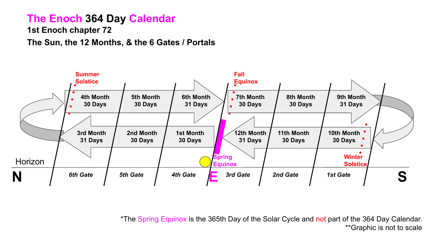#### **The Enoch 364 Day Calendar**

**1st Enoch chapter 72**

**The Sun, the 12 Months, & the 6 Gates / Portals**



\*The Spring Equinox is the 365th Day of the Solar Cycle and not part of the 364 Day Calendar. \*\*Graphic is not to scale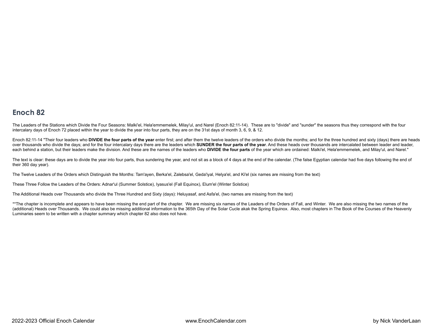#### Enoch<sub>82</sub>

The Leaders of the Stations which Divide the Four Seasons: Malki'el, Hela'emmemelek, Milay'ul, and Narel (Enoch 82:11-14). These are to "divide" and "sunder" the seasons thus they correspond with the four intercalary days of Enoch 72 placed within the year to divide the year into four parts, they are on the 31st days of month 3, 6, 9, & 12.

Enoch 82:11-14 "Their four leaders who DIVIDE the four parts of the year enter first; and after them the twelve leaders of the orders who divide the months; and for the three hundred and sixty (days) there are heads over thousands who divide the days; and for the four intercalary days there are the leaders which SUNDER the four parts of the year. And these heads over thousands are intercalated between leader and leader, each behind a station, but their leaders make the division. And these are the names of the leaders who DIVIDE the four parts of the year which are ordained: Malki'el, Hela'emmemelek, and Milay'ul, and Narel."

The text is clear: these days are to divide the year into four parts, thus sundering the year, and not sit as a block of 4 days at the end of the calendar. (The false Egyptian calendar had five days following the end of their 360 day year).

The Twelve Leaders of the Orders which Distinguish the Months: Tam'ayen, Berka'el, Zalebsa'el, Geda'iyal, Helya'el, and Ki'el (six names are missing from the text)

These Three Follow the Leaders of the Orders: Adnar'ul (Summer Solstice), Iyasus'el (Fall Equinox), Elum'el (Winter Solstice)

The Additional Heads over Thousands who divide the Three Hundred and Sixty (days): Heluyasaf, and Asfa'el, (two names are missing from the text)

\*\*The chapter is incomplete and appears to have been missing the end part of the chapter. We are missing six names of the Leaders of the Orders of Fall, and Winter. We are also missing the two names of the (additional) Heads over Thousands. We could also be missing additional information to the 365th Day of the Solar Cucle akak the Spring Equinox. Also, most chapters in The Book of the Courses of the Heavenly Luminaries seem to be written with a chapter summary which chapter 82 also does not have.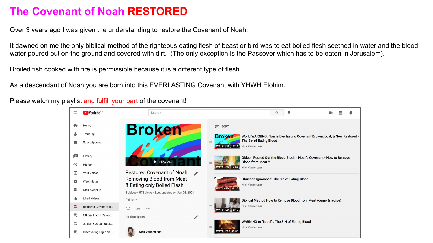#### **The Covenant of Noah RESTORED**

Over 3 years ago I was given the understanding to restore the Covenant of Noah.

It dawned on me the only biblical method of the righteous eating flesh of beast or bird was to eat boiled flesh seethed in water and the blood water poured out on the ground and covered with dirt. (The only exception is the Passover which has to be eaten in Jerusalem).

Broiled fish cooked with fire is permissible because it is a different type of flesh.

As a descendant of Noah you are born into this EVERLASTING Covenant with YHWH Elohim.

Please watch my playlist and fulfill your part of the covenant!

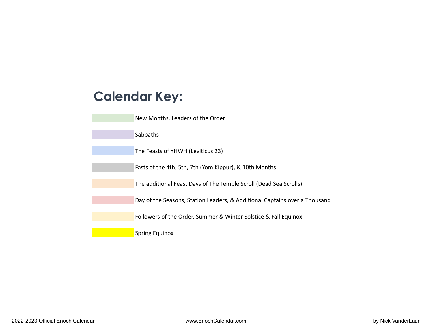#### **Calendar Key:**

| New Months, Leaders of the Order                                           |
|----------------------------------------------------------------------------|
| Sabbaths                                                                   |
| The Feasts of YHWH (Leviticus 23)                                          |
| Fasts of the 4th, 5th, 7th (Yom Kippur), & 10th Months                     |
| The additional Feast Days of The Temple Scroll (Dead Sea Scrolls)          |
| Day of the Seasons, Station Leaders, & Additional Captains over a Thousand |
| Followers of the Order, Summer & Winter Solstice & Fall Equinox            |
| <b>Spring Equinox</b>                                                      |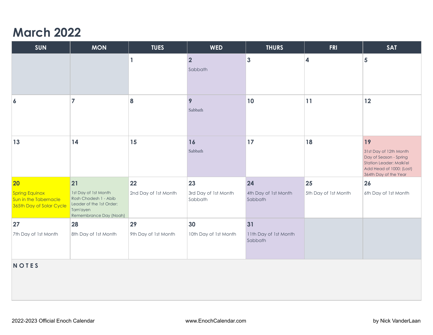#### **March 2022**

| <b>SUN</b>                                                                 | <b>MON</b>                                                                                                      | <b>TUES</b>          | <b>WED</b>                      | <b>THURS</b>                     | <b>FRI</b>           | <b>SAT</b>                                                                                                                              |
|----------------------------------------------------------------------------|-----------------------------------------------------------------------------------------------------------------|----------------------|---------------------------------|----------------------------------|----------------------|-----------------------------------------------------------------------------------------------------------------------------------------|
|                                                                            |                                                                                                                 | $\mathbf{1}$         | $\vert$ 2<br>Sabbath            | $\mathbf{3}$                     | 4                    | 5                                                                                                                                       |
| $\boldsymbol{6}$                                                           | $\overline{7}$                                                                                                  | 8                    | 9<br>Sabbath                    | 10                               | 11                   | 12                                                                                                                                      |
| 13                                                                         | 14                                                                                                              | 15                   | 16<br>Sabbath                   | 17                               | 18                   | 19<br>31st Day of 12th Month<br>Day of Season - Spring<br>Station Leader: Malki'el<br>Add Head of 1000: (Lost)<br>364th Day of the Year |
| 20                                                                         | 21                                                                                                              | 22                   | 23                              | 24                               | 25                   | 26                                                                                                                                      |
| <b>Spring Equinox</b><br>Sun in the Tabernacle<br>365th Day of Solar Cycle | 1st Day of 1st Month<br>Rosh Chodesh 1 - Abib<br>Leader of the 1st Order:<br>Tam'ayen<br>Remembrance Day (Noah) | 2nd Day of 1st Month | 3rd Day of 1st Month<br>Sabbath | 4th Day of 1st Month<br>Sabbath  | 5th Day of 1st Month | 6th Day of 1st Month                                                                                                                    |
| 27                                                                         | 28                                                                                                              | 29                   | 30                              | 31                               |                      |                                                                                                                                         |
| 7th Day of 1st Month                                                       | 8th Day of 1st Month                                                                                            | 9th Day of 1st Month | 10th Day of 1st Month           | 11th Day of 1st Month<br>Sabbath |                      |                                                                                                                                         |
| <b>NOTES</b>                                                               |                                                                                                                 |                      |                                 |                                  |                      |                                                                                                                                         |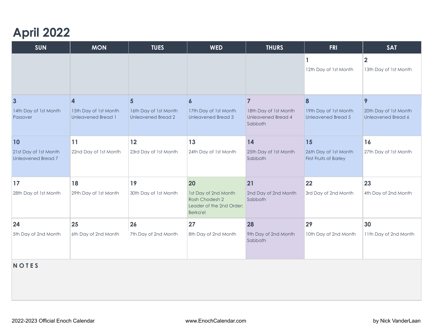## **April 2022**

| <b>SUN</b>                                         | <b>MON</b>                                         | <b>TUES</b>                                        | <b>WED</b>                                                                            | <b>THURS</b>                                                  | <b>FRI</b>                                             | <b>SAT</b>                                  |
|----------------------------------------------------|----------------------------------------------------|----------------------------------------------------|---------------------------------------------------------------------------------------|---------------------------------------------------------------|--------------------------------------------------------|---------------------------------------------|
|                                                    |                                                    |                                                    |                                                                                       |                                                               |                                                        | $\overline{2}$                              |
|                                                    |                                                    |                                                    |                                                                                       |                                                               | 12th Day of 1st Month                                  | 13th Day of 1st Month                       |
|                                                    |                                                    |                                                    |                                                                                       |                                                               |                                                        |                                             |
| $\overline{3}$                                     | $\overline{\mathbf{4}}$                            | $5\overline{)}$                                    | 6                                                                                     | $\overline{7}$                                                | 8                                                      | 9                                           |
| 14th Day of 1st Month<br>Passover                  | 15th Day of 1st Month<br><b>Unleavened Bread 1</b> | 16th Day of 1st Month<br><b>Unleavened Bread 2</b> | 17th Day of 1st Month<br><b>Unleavened Bread 3</b>                                    | 18th Day of 1st Month<br><b>Unleavened Bread 4</b><br>Sabbath | 19th Day of 1st Month<br><b>Unleavened Bread 5</b>     | 20th Day of 1st Month<br>Unleavened Bread 6 |
| <b>10</b>                                          | 11                                                 | 12                                                 | 13                                                                                    | 14                                                            | 15                                                     | 16                                          |
| 21st Day of 1st Month<br><b>Unleavened Bread 7</b> | 22nd Day of 1st Month                              | 23rd Day of 1st Month                              | 24th Day of 1st Month                                                                 | 25th Day of 1st Month<br>Sabbath                              | 26th Day of 1st Month<br><b>First Fruits of Barley</b> | 27th Day of 1st Month                       |
| 17                                                 | 18                                                 | 19                                                 | 20                                                                                    | 21                                                            | 22                                                     | 23                                          |
| 28th Day of 1st Month                              | 29th Day of 1st Month                              | 30th Day of 1st Month                              | 1st Day of 2nd Month<br>Rosh Chodesh 2<br>Leader of the 2nd Order:<br><b>Berka'el</b> | 2nd Day of 2nd Month<br>Sabbath                               | 3rd Day of 2nd Month                                   | 4th Day of 2nd Month                        |
| 24                                                 | 25                                                 | 26                                                 | 27                                                                                    | 28                                                            | 29                                                     | 30                                          |
| 5th Day of 2nd Month                               | 6th Day of 2nd Month                               | 7th Day of 2nd Month                               | 8th Day of 2nd Month                                                                  | 9th Day of 2nd Month<br>Sabbath                               | 10th Day of 2nd Month                                  | 11th Day of 2nd Month                       |
| <b>NOTES</b>                                       |                                                    |                                                    |                                                                                       |                                                               |                                                        |                                             |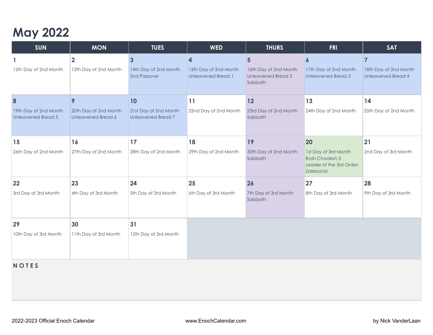# **May 2022**

| <b>SUN</b>                                                      | <b>MON</b>                                              | <b>TUES</b>                                              | <b>WED</b>                                               | <b>THURS</b>                                                                    | <b>FRI</b>                                                                             | <b>SAT</b>                                                           |
|-----------------------------------------------------------------|---------------------------------------------------------|----------------------------------------------------------|----------------------------------------------------------|---------------------------------------------------------------------------------|----------------------------------------------------------------------------------------|----------------------------------------------------------------------|
| 12th Day of 2nd Month                                           | $\overline{2}$<br>13th Day of 2nd Month                 | $\mathbf{3}$<br>14th Day of 2nd Month<br>2nd Passover    | Δ.<br>15th Day of 2nd Month<br><b>Unleavened Bread 1</b> | $5\phantom{1}$<br>16th Day of 2nd Month<br><b>Unleavened Bread 2</b><br>Sabbath | 6<br>17th Day of 2nd Month<br><b>Unleavened Bread 3</b>                                | $\overline{7}$<br>18th Day of 2nd Month<br><b>Unleavened Bread 4</b> |
| $\vert 8$<br>19th Day of 2nd Month<br><b>Unleavened Bread 5</b> | 9<br>20th Day of 2nd Month<br><b>Unleavened Bread 6</b> | 10<br>21st Day of 2nd Month<br><b>Unleavened Bread 7</b> | 11<br>22nd Day of 2nd Month                              | 12<br>23rd Day of 2nd Month<br>Sabbath                                          | 13<br>24th Day of 2nd Month                                                            | 14<br>25th Day of 2nd Month                                          |
| 15<br>26th Day of 2nd Month                                     | 16<br>27th Day of 2nd Month                             | 17<br>28th Day of 2nd Month                              | 18<br>29th Day of 2nd Month                              | 19<br>30th Day of 2nd Month<br>Sabbath                                          | 20<br>1st Day of 3rd Month<br>Rosh Chodesh 3<br>Leader of the 3rd Order:<br>Zalebsa'el | 21<br>2nd Day of 3rd Month                                           |
| 22<br>3rd Day of 3rd Month                                      | 23<br>4th Day of 3rd Month                              | 24<br>5th Day of 3rd Month                               | 25<br>6th Day of 3rd Month                               | 26<br>7th Day of 3rd Month<br>Sabbath                                           | 27<br>8th Day of 3rd Month                                                             | 28<br>9th Day of 3rd Month                                           |
| 29<br>10th Day of 3rd Month                                     | 30<br>11th Day of 3rd Month                             | 31<br>12th Day of 3rd Month                              |                                                          |                                                                                 |                                                                                        |                                                                      |

#### **N O T E S**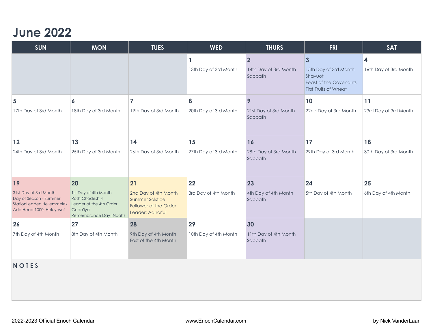#### **June 2022**

| <b>SUN</b>                                                                                                | <b>MON</b>                                                                                                | <b>TUES</b>                                                                                 | <b>WED</b>            | <b>THURS</b>                                       | <b>FRI</b>                                                                                                            | <b>SAT</b>                                       |  |
|-----------------------------------------------------------------------------------------------------------|-----------------------------------------------------------------------------------------------------------|---------------------------------------------------------------------------------------------|-----------------------|----------------------------------------------------|-----------------------------------------------------------------------------------------------------------------------|--------------------------------------------------|--|
|                                                                                                           |                                                                                                           |                                                                                             | 13th Day of 3rd Month | $\overline{2}$<br>14th Day of 3rd Month<br>Sabbath | $\overline{\mathbf{3}}$<br>15th Day of 3rd Month<br>Shavuot<br><b>Feast of the Covenants</b><br>First Fruits of Wheat | $\overline{\mathbf{4}}$<br>16th Day of 3rd Month |  |
| 5                                                                                                         | $\boldsymbol{6}$                                                                                          |                                                                                             | 8                     | 9                                                  | 10                                                                                                                    | 11                                               |  |
| 17th Day of 3rd Month                                                                                     | 18th Day of 3rd Month                                                                                     | 19th Day of 3rd Month                                                                       | 20th Day of 3rd Month | 21st Day of 3rd Month<br>Sabbath                   | 22nd Day of 3rd Month                                                                                                 | 23rd Day of 3rd Month                            |  |
| 12                                                                                                        | 13                                                                                                        | 14                                                                                          | 15                    | 16                                                 | 17                                                                                                                    | 18                                               |  |
| 24th Day of 3rd Month                                                                                     | 25th Day of 3rd Month                                                                                     | 26th Day of 3rd Month                                                                       | 27th Day of 3rd Month | 28th Day of 3rd Month<br>Sabbath                   | 29th Day of 3rd Month                                                                                                 | 30th Day of 3rd Month                            |  |
| 19                                                                                                        | 20                                                                                                        | 21                                                                                          | 22                    | 23                                                 | 24                                                                                                                    | 25                                               |  |
| 31st Day of 3rd Month<br>Day of Season - Summer<br>StationLeader: Hel'emmelek<br>Add Head 1000: Heluyasaf | 1st Day of 4th Month<br>Rosh Chodesh 4<br>Leader of the 4th Order:<br>Geda'iyal<br>Remembrance Day (Noah) | 2nd Day of 4th Month<br><b>Summer Solstice</b><br>Follower of the Order<br>Leader: Adnar'ul | 3rd Day of 4th Month  | 4th Day of 4th Month<br>Sabbath                    | 5th Day of 4th Month                                                                                                  | 6th Day of 4th Month                             |  |
| 26                                                                                                        | 27                                                                                                        | 28                                                                                          | 29                    | 30                                                 |                                                                                                                       |                                                  |  |
| 7th Day of 4th Month                                                                                      | 8th Day of 4th Month                                                                                      | 9th Day of 4th Month<br>Fast of the 4th Month                                               | 10th Day of 4th Month | 11th Day of 4th Month<br>Sabbath                   |                                                                                                                       |                                                  |  |
| <b>NOTES</b>                                                                                              |                                                                                                           |                                                                                             |                       |                                                    |                                                                                                                       |                                                  |  |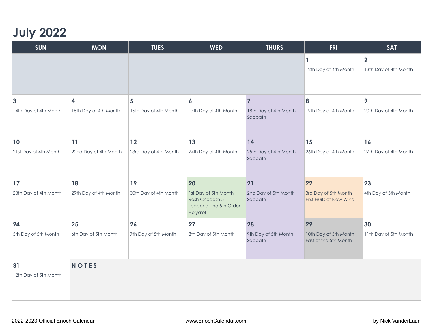### **July 2022**

| <b>SUN</b>            | <b>MON</b>              | <b>TUES</b>           | <b>WED</b>                                                                     | <b>THURS</b>                     | <b>FRI</b>                                       | <b>SAT</b>                              |
|-----------------------|-------------------------|-----------------------|--------------------------------------------------------------------------------|----------------------------------|--------------------------------------------------|-----------------------------------------|
|                       |                         |                       |                                                                                |                                  | 1<br>12th Day of 4th Month                       | $\overline{2}$<br>13th Day of 4th Month |
| 3                     | $\overline{\mathbf{4}}$ | 5                     | 6                                                                              | $\overline{7}$                   | 8                                                | 9                                       |
| 14th Day of 4th Month | 15th Day of 4th Month   | 16th Day of 4th Month | 17th Day of 4th Month                                                          | 18th Day of 4th Month<br>Sabbath | 19th Day of 4th Month                            | 20th Day of 4th Month                   |
| 10                    | 11                      | 12                    | 13                                                                             | 14                               | 15                                               | 16                                      |
| 21st Day of 4th Month | 22nd Day of 4th Month   | 23rd Day of 4th Month | 24th Day of 4th Month                                                          | 25th Day of 4th Month<br>Sabbath | 26th Day of 4th Month                            | 27th Day of 4th Month                   |
| 17                    | 18                      | 19                    | 20                                                                             | 21                               | 22                                               | 23                                      |
| 28th Day of 4th Month | 29th Day of 4th Month   | 30th Day of 4th Month | 1st Day of 5th Month<br>Rosh Chodesh 5<br>Leader of the 5th Order:<br>Helya'el | 2nd Day of 5th Month<br>Sabbath  | 3rd Day of 5th Month<br>First Fruits of New Wine | 4th Day of 5th Month                    |
| 24                    | 25                      | 26                    | 27                                                                             | 28                               | 29                                               | 30                                      |
| 5th Day of 5th Month  | 6th Day of 5th Month    | 7th Day of 5th Month  | 8th Day of 5th Month                                                           | 9th Day of 5th Month<br>Sabbath  | 10th Day of 5th Month<br>Fast of the 5th Month   | 11th Day of 5th Month                   |
| 31                    | <b>NOTES</b>            |                       |                                                                                |                                  |                                                  |                                         |
| 12th Day of 5th Month |                         |                       |                                                                                |                                  |                                                  |                                         |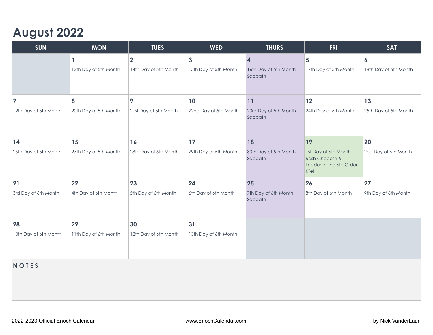### **August 2022**

| <b>SUN</b>            | <b>MON</b>            | <b>TUES</b>           | <b>WED</b>            | <b>THURS</b>                     | <b>FRI</b>                                                                  | <b>SAT</b>            |  |
|-----------------------|-----------------------|-----------------------|-----------------------|----------------------------------|-----------------------------------------------------------------------------|-----------------------|--|
|                       | 1                     | $\overline{2}$        | $\mathbf{3}$          | 4                                | 5                                                                           | 6                     |  |
|                       | 13th Day of 5th Month | 14th Day of 5th Month | 15th Day of 5th Month | 16th Day of 5th Month<br>Sabbath | 17th Day of 5th Month                                                       | 18th Day of 5th Month |  |
| $\overline{7}$        | 8                     | 9                     | 10                    | 11                               | 12                                                                          | 13                    |  |
| 19th Day of 5th Month | 20th Day of 5th Month | 21st Day of 5th Month | 22nd Day of 5th Month | 23rd Day of 5th Month<br>Sabbath | 24th Day of 5th Month                                                       | 25th Day of 5th Month |  |
| 14                    | 15                    | 16                    | 17                    | 18                               | 19                                                                          | 20                    |  |
| 26th Day of 5th Month | 27th Day of 5th Month | 28th Day of 5th Month | 29th Day of 5th Month | 30th Day of 5th Month<br>Sabbath | 1st Day of 6th Month<br>Rosh Chodesh 6<br>Leader of the 6th Order:<br>Ki'el | 2nd Day of 6th Month  |  |
| 21                    | 22                    | 23                    | 24                    | 25                               | 26                                                                          | 27                    |  |
| 3rd Day of 6th Month  | 4th Day of 6th Month  | 5th Day of 6th Month  | 6th Day of 6th Month  | 7th Day of 6th Month<br>Sabbath  | 8th Day of 6th Month                                                        | 9th Day of 6th Month  |  |
| 28                    | 29                    | 30                    | 31                    |                                  |                                                                             |                       |  |
| 10th Day of 6th Month | 11th Day of 6th Month | 12th Day of 6th Month | 13th Day of 6th Month |                                  |                                                                             |                       |  |
| <b>NOTES</b>          |                       |                       |                       |                                  |                                                                             |                       |  |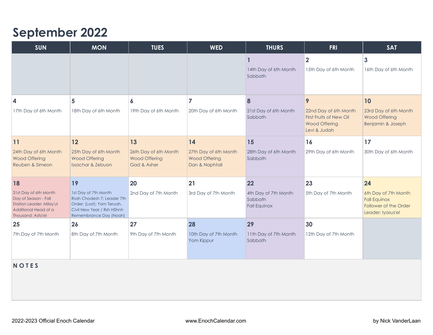#### **September 2022**

| <b>SUN</b>                                                                                                             | <b>MON</b>                                                                                                                               | <b>TUES</b>                                                  | <b>WED</b>                                                      | <b>THURS</b>                                           | <b>FRI</b>                                                                               | <b>SAT</b>                                                                                |  |
|------------------------------------------------------------------------------------------------------------------------|------------------------------------------------------------------------------------------------------------------------------------------|--------------------------------------------------------------|-----------------------------------------------------------------|--------------------------------------------------------|------------------------------------------------------------------------------------------|-------------------------------------------------------------------------------------------|--|
|                                                                                                                        |                                                                                                                                          |                                                              |                                                                 | 14th Day of 6th Month<br>Sabbath                       | $\overline{\mathbf{2}}$<br>15th Day of 6th Month                                         | $\mathbf{3}$<br>16th Day of 6th Month                                                     |  |
| 4                                                                                                                      | 5                                                                                                                                        | 6                                                            |                                                                 | 8                                                      | 9                                                                                        | 10                                                                                        |  |
| 17th Day of 6th Month                                                                                                  | 18th Day of 6th Month                                                                                                                    | 19th Day of 6th Month                                        | 20th Day of 6th Month                                           | 21st Day of 6th Month<br>Sabbath                       | 22nd Day of 6th Month<br>First Fruits of New Oil<br><b>Wood Offering</b><br>Levi & Judah | 23rd Day of 6th Month<br><b>Wood Offering</b><br>Benjamin & Joseph                        |  |
| 11                                                                                                                     | 12                                                                                                                                       | 13                                                           | 14                                                              | 15                                                     | 16                                                                                       | 17                                                                                        |  |
| 24th Day of 6th Month<br><b>Wood Offering</b><br>Reuben & Simeon                                                       | 25th Day of 6th Month<br><b>Wood Offering</b><br><b>Issachar &amp; Zebuon</b>                                                            | 26th Day of 6th Month<br><b>Wood Offering</b><br>Gad & Asher | 27th Day of 6th Month<br><b>Wood Offering</b><br>Dan & Naphtali | 28th Day of 6th Month<br>Sabbath                       | 29th Day of 6th Month                                                                    | 30th Day of 6th Month                                                                     |  |
| 18                                                                                                                     | 19                                                                                                                                       | 20                                                           | 21                                                              | 22                                                     | 23                                                                                       | 24                                                                                        |  |
| 31st Day of 6th Month<br>Day of Season - Fall<br>Station Leader: Milay'ul<br>Additional Head of a<br>Thousand: Asfa'el | 1st Day of 7th Month<br>Rosh Chodesh 7; Leader 7th<br>Order: (Lost); Yom Teruah,<br>Civil New Year / Rsh HShnh<br>Remembrance Day (Noah) | 2nd Day of 7th Month                                         | 3rd Day of 7th Month                                            | 4th Day of 7th Month<br>Sabbath<br><b>Fall Equinox</b> | 5th Day of 7th Month                                                                     | 6th Day of 7th Month<br><b>Fall Equinox</b><br>Follower of the Order<br>Leader: lyasus'el |  |
| 25                                                                                                                     | 26                                                                                                                                       | 27                                                           | 28                                                              | 29                                                     | 30                                                                                       |                                                                                           |  |
| 7th Day of 7th Month                                                                                                   | 8th Day of 7th Month                                                                                                                     | 9th Day of 7th Month                                         | 10th Day of 7th Month<br>Yom Kippur                             | 11th Day of 7th Month<br>Sabbath                       | 12th Day of 7th Month                                                                    |                                                                                           |  |
| <b>NOTES</b>                                                                                                           |                                                                                                                                          |                                                              |                                                                 |                                                        |                                                                                          |                                                                                           |  |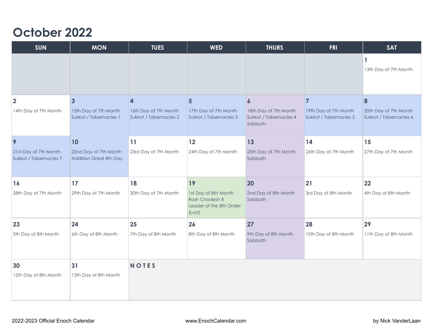#### **October 2022**

| <b>SUN</b>                                      | <b>MON</b>                                                        | <b>TUES</b>                                                                | <b>WED</b>                                                                   | <b>THURS</b>                                                                   | <b>FRI</b>                                                        | <b>SAT</b>                                           |
|-------------------------------------------------|-------------------------------------------------------------------|----------------------------------------------------------------------------|------------------------------------------------------------------------------|--------------------------------------------------------------------------------|-------------------------------------------------------------------|------------------------------------------------------|
|                                                 |                                                                   |                                                                            |                                                                              |                                                                                |                                                                   | 1<br>13th Day of 7th Month                           |
| $\mathbf{2}$<br>14th Day of 7th Month           | $\overline{3}$<br>15th Day of 7th Month<br>Sukkot / Tabernacles 1 | $\overline{\mathbf{4}}$<br>16th Day of 7th Month<br>Sukkot / Tabernacles 2 | $5\phantom{.0}$<br>17th Day of 7th Month<br>Sukkot / Tabernacles 3           | $\boldsymbol{6}$<br>18th Day of 7th Month<br>Sukkot / Tabernacles 4<br>Sabbath | $\overline{7}$<br>19th Day of 7th Month<br>Sukkot / Tabernacles 5 | 8<br>20th Day of 7th Month<br>Sukkot / Tabernacles 6 |
| 9                                               | 10                                                                | 11                                                                         | 12                                                                           | 13                                                                             | 14                                                                | 15                                                   |
| 21st Day of 7th Month<br>Sukkot / Tabernacles 7 | 22nd Day of 7th Month<br><b>Addition Great 8th Day</b>            | 23rd Day of 7th Month                                                      | 24th Day of 7th Month                                                        | 25th Day of 7th Month<br>Sabbath                                               | 26th Day of 7th Month                                             | 27th Day of 7th Month                                |
| 16                                              | 17                                                                | 18                                                                         | 19                                                                           | 20                                                                             | 21                                                                | 22                                                   |
| 28th Day of 7th Month                           | 29th Day of 7th Month                                             | 30th Day of 7th Month                                                      | 1st Day of 8th Month<br>Rosh Chodesh 8<br>Leader of the 8th Order:<br>(Lost) | 2nd Day of 8th Month<br>Sabbath                                                | 3rd Day of 8th Month                                              | 4th Day of 8th Month                                 |
| 23                                              | 24                                                                | 25                                                                         | 26                                                                           | 27                                                                             | 28                                                                | 29                                                   |
| 5th Day of 8th Month                            | 6th Day of 8th Month                                              | 7th Day of 8th Month                                                       | 8th Day of 8th Month                                                         | 9th Day of 8th Month<br>Sabbath                                                | 10th Day of 8th Month                                             | 11th Day of 8th Month                                |
| 30<br>12th Day of 8th Month                     | 31<br>13th Day of 8th Month                                       | <b>NOTES</b>                                                               |                                                                              |                                                                                |                                                                   |                                                      |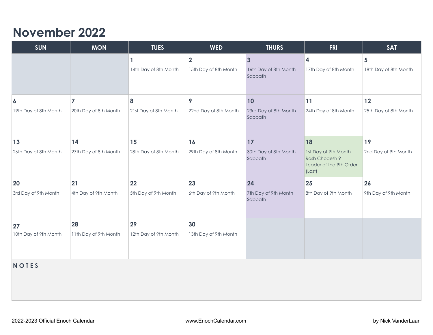#### **November 2022**

| <b>SUN</b>            | <b>MON</b>            | <b>TUES</b>           | <b>WED</b>                                       | <b>THURS</b>                                     | <b>FRI</b>                                                                   | <b>SAT</b>                              |
|-----------------------|-----------------------|-----------------------|--------------------------------------------------|--------------------------------------------------|------------------------------------------------------------------------------|-----------------------------------------|
|                       |                       | 14th Day of 8th Month | $\overline{\mathbf{2}}$<br>15th Day of 8th Month | $\mathbf{3}$<br>16th Day of 8th Month<br>Sabbath | $\overline{\mathbf{4}}$<br>17th Day of 8th Month                             | $5\phantom{1}$<br>18th Day of 8th Month |
| $\boldsymbol{6}$      | $\overline{7}$        | 8                     | 9                                                | 10                                               | 11                                                                           | $12$                                    |
| 19th Day of 8th Month | 20th Day of 8th Month | 21st Day of 8th Month | 22nd Day of 8th Month                            | 23rd Day of 8th Month<br>Sabbath                 | 24th Day of 8th Month                                                        | 25th Day of 8th Month                   |
| 13                    | 14                    | 15                    | 16                                               | 17                                               | 18                                                                           | 19                                      |
| 26th Day of 8th Month | 27th Day of 8th Month | 28th Day of 8th Month | 29th Day of 8th Month                            | 30th Day of 8th Month<br>Sabbath                 | 1st Day of 9th Month<br>Rosh Chodesh 9<br>Leader of the 9th Order:<br>(Lost) | 2nd Day of 9th Month                    |
| 20                    | 21                    | 22                    | 23                                               | 24                                               | 25                                                                           | 26                                      |
| 3rd Day of 9th Month  | 4th Day of 9th Month  | 5th Day of 9th Month  | 6th Day of 9th Month                             | 7th Day of 9th Month<br>Sabbath                  | 8th Day of 9th Month                                                         | 9th Day of 9th Month                    |
| 27                    | 28                    | 29                    | 30                                               |                                                  |                                                                              |                                         |
| 10th Day of 9th Month | 11th Day of 9th Month | 12th Day of 9th Month | 13th Day of 9th Month                            |                                                  |                                                                              |                                         |
| <b>NOTES</b>          |                       |                       |                                                  |                                                  |                                                                              |                                         |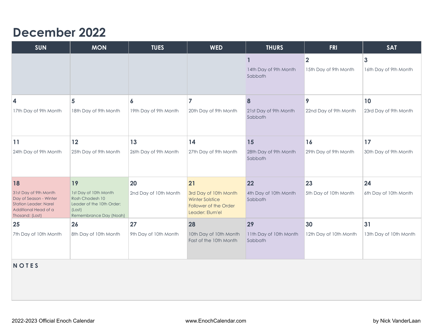#### **December 2022**

| <b>SUN</b>                                                                                                                 | <b>MON</b>                                                                                                | <b>TUES</b>           | <b>WED</b>                                                                                  | <b>THURS</b>                      | <b>FRI</b>                                       | <b>SAT</b>                            |  |  |
|----------------------------------------------------------------------------------------------------------------------------|-----------------------------------------------------------------------------------------------------------|-----------------------|---------------------------------------------------------------------------------------------|-----------------------------------|--------------------------------------------------|---------------------------------------|--|--|
|                                                                                                                            |                                                                                                           |                       |                                                                                             | 14th Day of 9th Month<br>Sabbath  | $\overline{\mathbf{2}}$<br>15th Day of 9th Month | $\mathbf{3}$<br>16th Day of 9th Month |  |  |
| $\overline{\mathbf{4}}$                                                                                                    | 5                                                                                                         | 6                     |                                                                                             | 8                                 | 9                                                | 10                                    |  |  |
| 17th Day of 9th Month                                                                                                      | 18th Day of 9th Month                                                                                     | 19th Day of 9th Month | 20th Day of 9th Month                                                                       | 21st Day of 9th Month<br>Sabbath  | 22nd Day of 9th Month                            | 23rd Day of 9th Month                 |  |  |
| 11                                                                                                                         | 12                                                                                                        | 13                    | 14                                                                                          | 15                                | 16                                               | 17                                    |  |  |
| 24th Day of 9th Month                                                                                                      | 25th Day of 9th Month                                                                                     | 26th Day of 9th Month | 27th Day of 9th Month                                                                       | 28th Day of 9th Month<br>Sabbath  | 29th Day of 9th Month                            | 30th Day of 9th Month                 |  |  |
| 18                                                                                                                         | 19                                                                                                        | 20                    | 21                                                                                          | 22                                | 23                                               | 24                                    |  |  |
| 31st Day of 9th Month<br>Day of Season - Winter<br><b>Station Leader: Narel</b><br>Additional Head of a<br>Thosand: (Lost) | 1st Day of 10th Month<br>Rosh Chodesh 10<br>Leader of the 10th Order:<br>(Lost)<br>Remembrance Day (Noah) | 2nd Day of 10th Month | 3rd Day of 10th Month<br><b>Winter Solstice</b><br>Follower of the Order<br>Leader: Elum'el | 4th Day of 10th Month<br>Sabbath  | 5th Day of 10th Month                            | 6th Day of 10th Month                 |  |  |
| 25                                                                                                                         | 26                                                                                                        | 27                    | 28                                                                                          | 29                                | 30                                               | 31                                    |  |  |
| 7th Day of 10th Month                                                                                                      | 8th Day of 10th Month                                                                                     | 9th Day of 10th Month | 10th Day of 10th Month<br>Fast of the 10th Month                                            | 11th Day of 10th Month<br>Sabbath | 12th Day of 10th Month                           | 13th Day of 10th Month                |  |  |
| <b>NOTES</b>                                                                                                               |                                                                                                           |                       |                                                                                             |                                   |                                                  |                                       |  |  |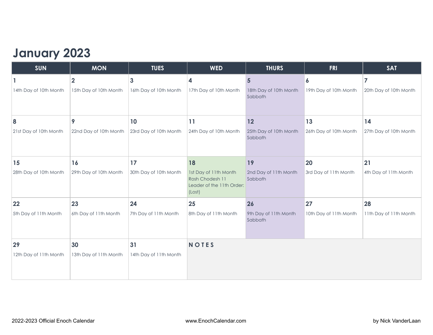### **January 2023**

| <b>SUN</b>             | <b>MON</b>              | <b>TUES</b>            | <b>WED</b>                                                                      | <b>THURS</b>                      | <b>FRI</b>             | <b>SAT</b>             |
|------------------------|-------------------------|------------------------|---------------------------------------------------------------------------------|-----------------------------------|------------------------|------------------------|
|                        | $\overline{\mathbf{2}}$ | 3                      | 4                                                                               | $5\phantom{1}$                    | 6                      | 7                      |
| 14th Day of 10th Month | 15th Day of 10th Month  | 16th Day of 10th Month | 17th Day of 10th Month                                                          | 18th Day of 10th Month<br>Sabbath | 19th Day of 10th Month | 20th Day of 10th Month |
| 8                      | 9                       | 10                     | 11                                                                              | 12                                | 13                     | 14                     |
| 21st Day of 10th Month | 22nd Day of 10th Month  | 23rd Day of 10th Month | 24th Day of 10th Month                                                          | 25th Day of 10th Month<br>Sabbath | 26th Day of 10th Month | 27th Day of 10th Month |
| 15                     | 16                      | 17                     | 18                                                                              | 19                                | 20                     | 21                     |
| 28th Day of 10th Month | 29th Day of 10th Month  | 30th Day of 10th Month | 1st Day of 11th Month<br>Rosh Chodesh 11<br>Leader of the 11th Order:<br>(Lost) | 2nd Day of 11th Month<br>Sabbath  | 3rd Day of 11th Month  | 4th Day of 11th Month  |
| 22                     | 23                      | 24                     | 25                                                                              | 26                                | 27                     | 28                     |
| 5th Day of 11th Month  | 6th Day of 11th Month   | 7th Day of 11th Month  | 8th Day of 11th Month                                                           | 9th Day of 11th Month<br>Sabbath  | 10th Day of 11th Month | 11th Day of 11th Month |
| 29                     | 30                      | 31                     | <b>NOTES</b>                                                                    |                                   |                        |                        |
| 12th Day of 11th Month | 13th Day of 11th Month  | 14th Day of 11th Month |                                                                                 |                                   |                        |                        |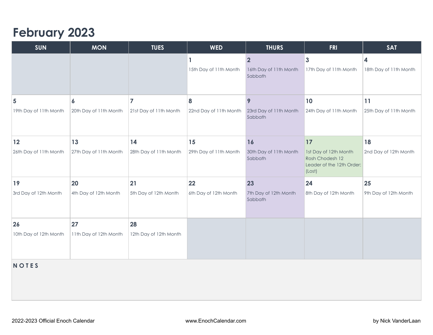#### **February 2023**

| <b>SUN</b>             | <b>MON</b>             | <b>TUES</b>            | <b>WED</b>                  | <b>THURS</b>                                      | <b>FRI</b>                                                                      | <b>SAT</b>                                        |  |  |  |
|------------------------|------------------------|------------------------|-----------------------------|---------------------------------------------------|---------------------------------------------------------------------------------|---------------------------------------------------|--|--|--|
|                        |                        |                        | 1<br>15th Day of 11th Month | $\mathbf{2}$<br>16th Day of 11th Month<br>Sabbath | $\overline{\mathbf{3}}$<br>17th Day of 11th Month                               | $\overline{\mathbf{4}}$<br>18th Day of 11th Month |  |  |  |
| 5                      | 6                      | $\overline{7}$         | 8                           | 9                                                 | 10                                                                              | 11                                                |  |  |  |
| 19th Day of 11th Month | 20th Day of 11th Month | 21st Day of 11th Month | 22nd Day of 11th Month      | 23rd Day of 11th Month<br>Sabbath                 | 24th Day of 11th Month                                                          | 25th Day of 11th Month                            |  |  |  |
| $12$                   | 13                     | 14                     | 15                          | 16                                                | 17                                                                              | 18                                                |  |  |  |
| 26th Day of 11th Month | 27th Day of 11th Month | 28th Day of 11th Month | 29th Day of 11th Month      | 30th Day of 11th Month<br>Sabbath                 | 1st Day of 12th Month<br>Rosh Chodesh 12<br>Leader of the 12th Order:<br>(Lost) | 2nd Day of 12th Month                             |  |  |  |
| <b>19</b>              | 20                     | 21                     | 22                          | 23                                                | 24                                                                              | 25                                                |  |  |  |
| 3rd Day of 12th Month  | 4th Day of 12th Month  | 5th Day of 12th Month  | 6th Day of 12th Month       | 7th Day of 12th Month<br>Sabbath                  | 8th Day of 12th Month                                                           | 9th Day of 12th Month                             |  |  |  |
| 26                     | 27                     | 28                     |                             |                                                   |                                                                                 |                                                   |  |  |  |
| 10th Day of 12th Month | 11th Day of 12th Month | 12th Day of 12th Month |                             |                                                   |                                                                                 |                                                   |  |  |  |
| <b>NOTES</b>           |                        |                        |                             |                                                   |                                                                                 |                                                   |  |  |  |